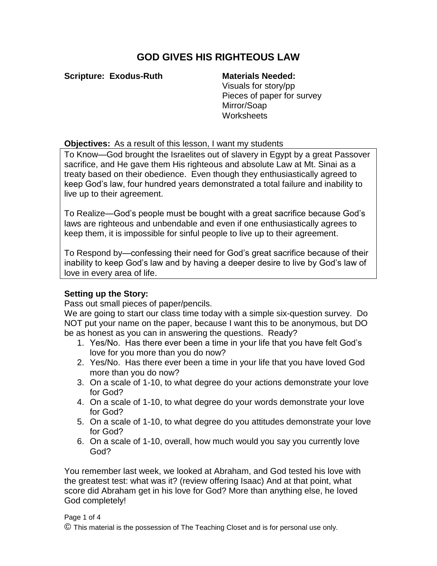# **GOD GIVES HIS RIGHTEOUS LAW**

**Scripture: Exodus-Ruth Materials Needed:**

Visuals for story/pp Pieces of paper for survey Mirror/Soap **Worksheets** 

# **Objectives:** As a result of this lesson, I want my students

To Know—God brought the Israelites out of slavery in Egypt by a great Passover sacrifice, and He gave them His righteous and absolute Law at Mt. Sinai as a treaty based on their obedience. Even though they enthusiastically agreed to keep God's law, four hundred years demonstrated a total failure and inability to live up to their agreement.

To Realize—God's people must be bought with a great sacrifice because God's laws are righteous and unbendable and even if one enthusiastically agrees to keep them, it is impossible for sinful people to live up to their agreement.

To Respond by—confessing their need for God's great sacrifice because of their inability to keep God's law and by having a deeper desire to live by God's law of love in every area of life.

# **Setting up the Story:**

Pass out small pieces of paper/pencils.

We are going to start our class time today with a simple six-question survey. Do NOT put your name on the paper, because I want this to be anonymous, but DO be as honest as you can in answering the questions. Ready?

- 1. Yes/No. Has there ever been a time in your life that you have felt God's love for you more than you do now?
- 2. Yes/No. Has there ever been a time in your life that you have loved God more than you do now?
- 3. On a scale of 1-10, to what degree do your actions demonstrate your love for God?
- 4. On a scale of 1-10, to what degree do your words demonstrate your love for God?
- 5. On a scale of 1-10, to what degree do you attitudes demonstrate your love for God?
- 6. On a scale of 1-10, overall, how much would you say you currently love God?

You remember last week, we looked at Abraham, and God tested his love with the greatest test: what was it? (review offering Isaac) And at that point, what score did Abraham get in his love for God? More than anything else, he loved God completely!

### Page 1 of 4

© This material is the possession of The Teaching Closet and is for personal use only.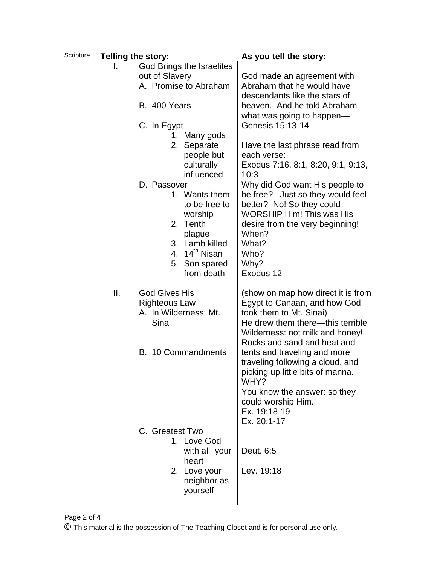| Scripture | <b>Telling the story:</b> |                                               | As you tell the story:                                         |
|-----------|---------------------------|-----------------------------------------------|----------------------------------------------------------------|
|           | L.                        | God Brings the Israelites                     |                                                                |
|           |                           | out of Slavery                                | God made an agreement with                                     |
|           |                           | A. Promise to Abraham                         | Abraham that he would have                                     |
|           |                           |                                               | descendants like the stars of                                  |
|           |                           | B. 400 Years                                  | heaven. And he told Abraham                                    |
|           |                           |                                               | what was going to happen—                                      |
|           |                           |                                               | Genesis 15:13-14                                               |
|           |                           | C. In Egypt                                   |                                                                |
|           |                           | 1. Many gods                                  |                                                                |
|           |                           | 2. Separate                                   | Have the last phrase read from                                 |
|           |                           | people but                                    | each verse:                                                    |
|           |                           | culturally                                    | Exodus 7:16, 8:1, 8:20, 9:1, 9:13,                             |
|           |                           | influenced                                    | 10:3                                                           |
|           |                           | D. Passover                                   | Why did God want His people to                                 |
|           |                           | 1. Wants them                                 | be free? Just so they would feel                               |
|           |                           | to be free to                                 | better? No! So they could                                      |
|           |                           | worship                                       | <b>WORSHIP Him! This was His</b>                               |
|           |                           | 2. Tenth                                      | desire from the very beginning!                                |
|           |                           | plague                                        | When?                                                          |
|           |                           | 3. Lamb killed                                | What?                                                          |
|           |                           | 4. 14 <sup>th</sup> Nisan                     | Who?                                                           |
|           |                           | 5. Son spared                                 | Why?                                                           |
|           |                           | from death                                    | Exodus 12                                                      |
|           | ΙΙ.                       | <b>God Gives His</b>                          |                                                                |
|           |                           |                                               | (show on map how direct it is from                             |
|           |                           | <b>Righteous Law</b><br>A. In Wilderness: Mt. | Egypt to Canaan, and how God<br>took them to Mt. Sinai)        |
|           |                           | Sinai                                         | He drew them there—this terrible                               |
|           |                           |                                               |                                                                |
|           |                           |                                               | Wilderness: not milk and honey!<br>Rocks and sand and heat and |
|           |                           |                                               |                                                                |
|           |                           | B. 10 Commandments                            | tents and traveling and more                                   |
|           |                           |                                               | traveling following a cloud, and                               |
|           |                           |                                               | picking up little bits of manna.                               |
|           |                           |                                               | WHY?                                                           |
|           |                           |                                               | You know the answer: so they                                   |
|           |                           |                                               | could worship Him.                                             |
|           |                           |                                               | Ex. 19:18-19                                                   |
|           |                           |                                               | Ex. 20:1-17                                                    |
|           |                           | C. Greatest Two                               |                                                                |
|           |                           | 1. Love God                                   |                                                                |
|           |                           | with all your                                 | Deut. 6:5                                                      |
|           |                           | heart                                         |                                                                |
|           |                           | 2. Love your                                  | Lev. 19:18                                                     |
|           |                           | neighbor as                                   |                                                                |
|           |                           | yourself                                      |                                                                |
|           |                           |                                               |                                                                |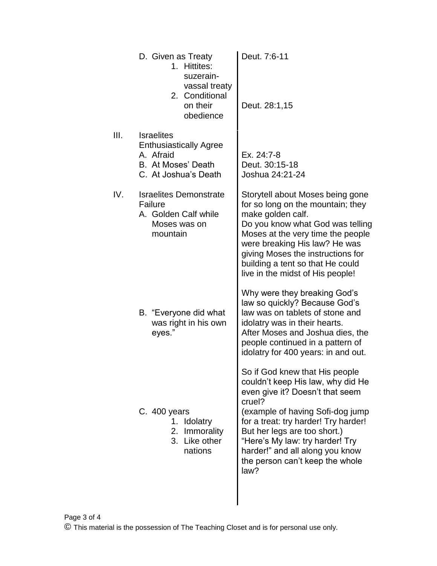|      | D. Given as Treaty<br>1. Hittites:<br>suzerain-<br>vassal treaty<br>2. Conditional<br>on their<br>obedience   | Deut. 7:6-11<br>Deut. 28:1,15                                                                                                                                                                                                                                                                                                                  |
|------|---------------------------------------------------------------------------------------------------------------|------------------------------------------------------------------------------------------------------------------------------------------------------------------------------------------------------------------------------------------------------------------------------------------------------------------------------------------------|
| III. | <b>Israelites</b><br><b>Enthusiastically Agree</b><br>A. Afraid<br>B. At Moses' Death<br>C. At Joshua's Death | Ex. 24:7-8<br>Deut. 30:15-18<br>Joshua 24:21-24                                                                                                                                                                                                                                                                                                |
| IV.  | <b>Israelites Demonstrate</b><br>Failure<br>A. Golden Calf while<br>Moses was on<br>mountain                  | Storytell about Moses being gone<br>for so long on the mountain; they<br>make golden calf.<br>Do you know what God was telling<br>Moses at the very time the people<br>were breaking His law? He was<br>giving Moses the instructions for<br>building a tent so that He could<br>live in the midst of His people!                              |
|      | B. "Everyone did what<br>was right in his own<br>eyes."                                                       | Why were they breaking God's<br>law so quickly? Because God's<br>law was on tablets of stone and<br>idolatry was in their hearts.<br>After Moses and Joshua dies, the<br>people continued in a pattern of<br>idolatry for 400 years: in and out.                                                                                               |
|      | $C.400$ years<br>1. Idolatry<br>Immorality<br>2.<br>Like other<br>3.<br>nations                               | So if God knew that His people<br>couldn't keep His law, why did He<br>even give it? Doesn't that seem<br>cruel?<br>(example of having Sofi-dog jump)<br>for a treat: try harder! Try harder!<br>But her legs are too short.)<br>"Here's My law: try harder! Try<br>harder!" and all along you know<br>the person can't keep the whole<br>law? |
|      |                                                                                                               |                                                                                                                                                                                                                                                                                                                                                |